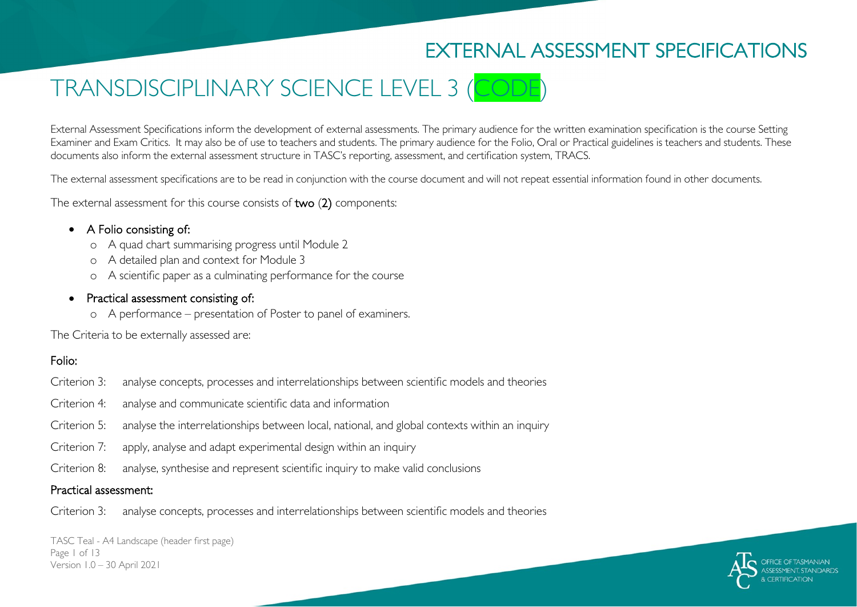# EXTERNAL ASSESSMENT SPECIFICATIONS

# TRANSDISCIPLINARY SCIENCE LEVEL 3 (CODE)

External Assessment Specifications inform the development of external assessments. The primary audience for the written examination specification is the course Setting Examiner and Exam Critics. It may also be of use to teachers and students. The primary audience for the Folio, Oral or Practical guidelines is teachers and students. These documents also inform the external assessment structure in TASC's reporting, assessment, and certification system, TRACS.

The external assessment specifications are to be read in conjunction with the course document and will not repeat essential information found in other documents.

The external assessment for this course consists of two (2) components:

#### • A Folio consisting of:

- o A quad chart summarising progress until Module 2
- o A detailed plan and context for Module 3
- o A scientific paper as a culminating performance for the course

#### • Practical assessment consisting of:

o A performance – presentation of Poster to panel of examiners.

The Criteria to be externally assessed are:

#### Folio:

- Criterion 3: analyse concepts, processes and interrelationships between scientific models and theories
- Criterion 4: analyse and communicate scientific data and information
- Criterion 5: analyse the interrelationships between local, national, and global contexts within an inquiry
- Criterion 7: apply, analyse and adapt experimental design within an inquiry
- Criterion 8: analyse, synthesise and represent scientific inquiry to make valid conclusions

#### Practical assessment:

Criterion 3: analyse concepts, processes and interrelationships between scientific models and theories

TASC Teal - A4 Landscape (header first page) Page 1 of 13 Version 1.0 – 30 April 2021

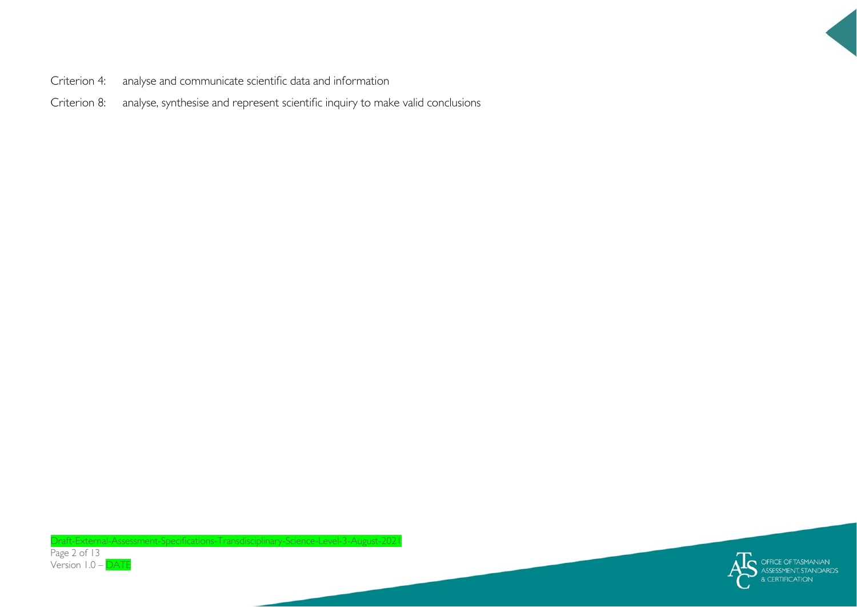

- Criterion 4: analyse and communicate scientific data and information
- Criterion 8: analyse, synthesise and represent scientific inquiry to make valid conclusions



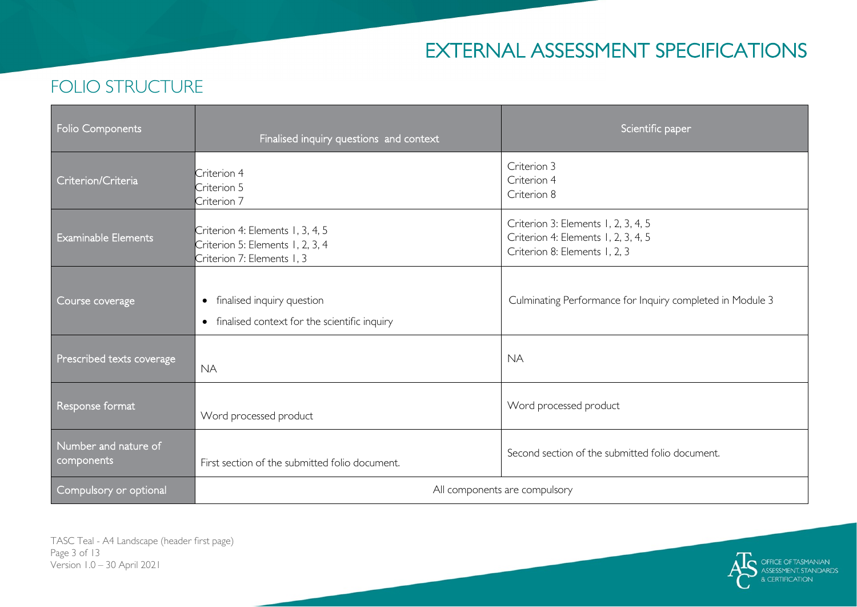# EXTERNAL ASSESSMENT SPECIFICATIONS

# FOLIO STRUCTURE

| Folio Components                   | Finalised inquiry questions and context                                                            | Scientific paper                                                                                            |
|------------------------------------|----------------------------------------------------------------------------------------------------|-------------------------------------------------------------------------------------------------------------|
| Criterion/Criteria                 | Criterion 4<br>Criterion 5<br>Criterion 7                                                          | Criterion 3<br>Criterion 4<br>Criterion 8                                                                   |
| <b>Examinable Elements</b>         | Criterion 4: Elements 1, 3, 4, 5<br>Criterion 5: Elements 1, 2, 3, 4<br>Criterion 7: Elements 1, 3 | Criterion 3: Elements 1, 2, 3, 4, 5<br>Criterion 4: Elements 1, 2, 3, 4, 5<br>Criterion 8: Elements 1, 2, 3 |
| Course coverage                    | finalised inquiry question<br>$\bullet$<br>• finalised context for the scientific inquiry          | Culminating Performance for Inquiry completed in Module 3                                                   |
| Prescribed texts coverage          | <b>NA</b>                                                                                          | <b>NA</b>                                                                                                   |
| Response format                    | Word processed product                                                                             | Word processed product                                                                                      |
| Number and nature of<br>components | First section of the submitted folio document.                                                     | Second section of the submitted folio document.                                                             |
| Compulsory or optional             | All components are compulsory                                                                      |                                                                                                             |

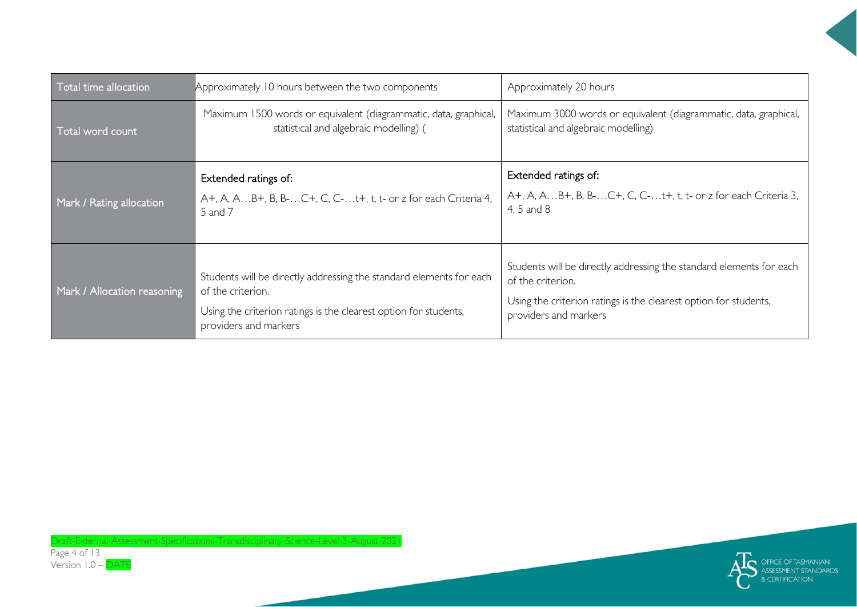| Total time allocation       | Approximately 10 hours between the two components                                                                                                                                     | Approximately 20 hours                                                                                                                                                                |
|-----------------------------|---------------------------------------------------------------------------------------------------------------------------------------------------------------------------------------|---------------------------------------------------------------------------------------------------------------------------------------------------------------------------------------|
| Total word count            | Maximum 1500 words or equivalent (diagrammatic, data, graphical,<br>statistical and algebraic modelling) (                                                                            | Maximum 3000 words or equivalent (diagrammatic, data, graphical,<br>statistical and algebraic modelling)                                                                              |
| Mark / Rating allocation    | Extended ratings of:<br>A+, A, AB+, B, B-C+, C, C-t+, t, t- or z for each Criteria 4,<br>5 and 7                                                                                      | Extended ratings of:<br>A+, A, AB+, B, B-C+, C, C-t+, t, t- or z for each Criteria 3,<br>4, 5 and 8                                                                                   |
| Mark / Allocation reasoning | Students will be directly addressing the standard elements for each<br>of the criterion.<br>Using the criterion ratings is the clearest option for students,<br>providers and markers | Students will be directly addressing the standard elements for each<br>of the criterion.<br>Using the criterion ratings is the clearest option for students,<br>providers and markers |

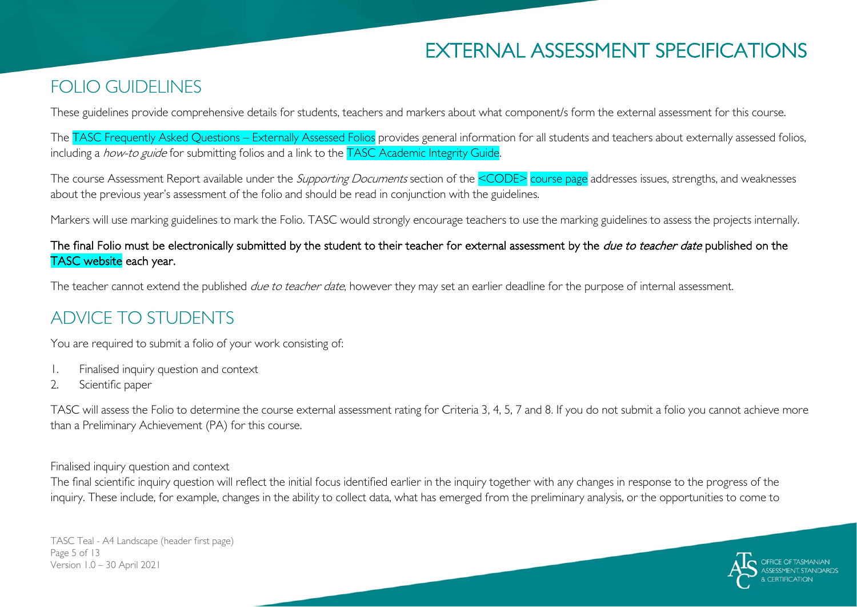# EXTERNAL ASSESSMENT SPECIFICATIONS

### FOLIO GUIDELINES

These guidelines provide comprehensive details for students, teachers and markers about what component/s form the external assessment for this course.

The TASC Frequently Asked Questions – Externally Assessed Folios provides general information for all students and teachers about externally assessed folios, including a *how-to guide* for submitting folios and a link to the TASC Academic Integrity Guide.

The course Assessment Report available under the *Supporting Documents* section of the <CODE> course page addresses issues, strengths, and weaknesses about the previous year's assessment of the folio and should be read in conjunction with the guidelines.

Markers will use marking guidelines to mark the Folio. TASC would strongly encourage teachers to use the marking guidelines to assess the projects internally.

#### The final Folio must be electronically submitted by the student to their teacher for external assessment by the *due to teacher date* published on the TASC website each year.

The teacher cannot extend the published *due to teacher date*, however they may set an earlier deadline for the purpose of internal assessment.

### ADVICE TO STUDENTS

You are required to submit a folio of your work consisting of:

- 1. Finalised inquiry question and context
- 2. Scientific paper

TASC will assess the Folio to determine the course external assessment rating for Criteria 3, 4, 5, 7 and 8. If you do not submit a folio you cannot achieve more than a Preliminary Achievement (PA) for this course.

Finalised inquiry question and context

The final scientific inquiry question will reflect the initial focus identified earlier in the inquiry together with any changes in response to the progress of the inquiry. These include, for example, changes in the ability to collect data, what has emerged from the preliminary analysis, or the opportunities to come to

TASC Teal - A4 Landscape (header first page) Page 5 of 13 Version 1.0 – 30 April 2021

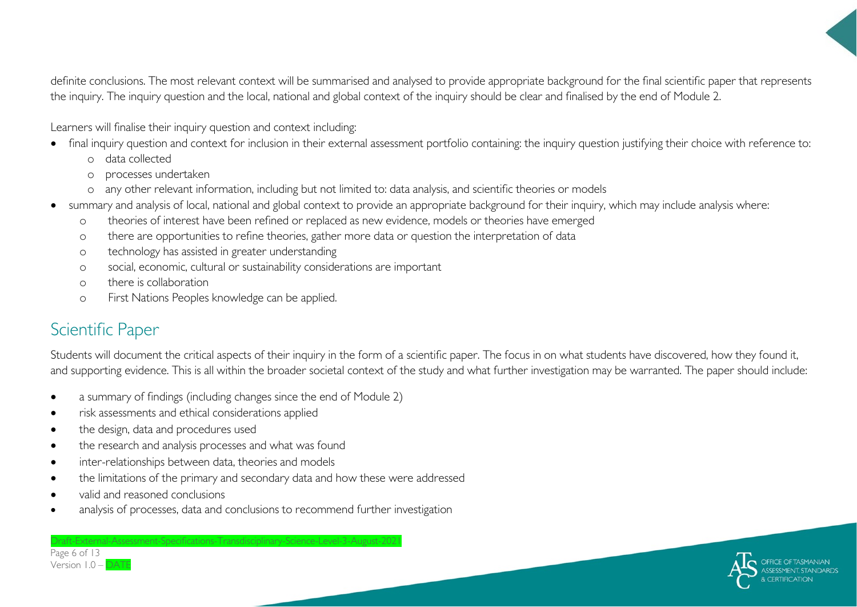definite conclusions. The most relevant context will be summarised and analysed to provide appropriate background for the final scientific paper that represents the inquiry. The inquiry question and the local, national and global context of the inquiry should be clear and finalised by the end of Module 2.

Learners will finalise their inquiry question and context including:

- final inquiry question and context for inclusion in their external assessment portfolio containing: the inquiry question justifying their choice with reference to:
	- o data collected
	- o processes undertaken
	- o any other relevant information, including but not limited to: data analysis, and scientific theories or models
- summary and analysis of local, national and global context to provide an appropriate background for their inquiry, which may include analysis where:
	- o theories of interest have been refined or replaced as new evidence, models or theories have emerged
	- o there are opportunities to refine theories, gather more data or question the interpretation of data
	- o technology has assisted in greater understanding
	- o social, economic, cultural or sustainability considerations are important
	- o there is collaboration
	- o First Nations Peoples knowledge can be applied.

# Scientific Paper

Page 6 of 13 Version  $1.0 -$ 

Students will document the critical aspects of their inquiry in the form of a scientific paper. The focus in on what students have discovered, how they found it, and supporting evidence. This is all within the broader societal context of the study and what further investigation may be warranted. The paper should include:

• a summary of findings (including changes since the end of Module 2)

Draft-External-Assessment-Specifications-Transdisciplinary-Science-Level-3-August-2021

- risk assessments and ethical considerations applied
- the design, data and procedures used
- the research and analysis processes and what was found
- inter-relationships between data, theories and models
- the limitations of the primary and secondary data and how these were addressed
- valid and reasoned conclusions
- analysis of processes, data and conclusions to recommend further investigation

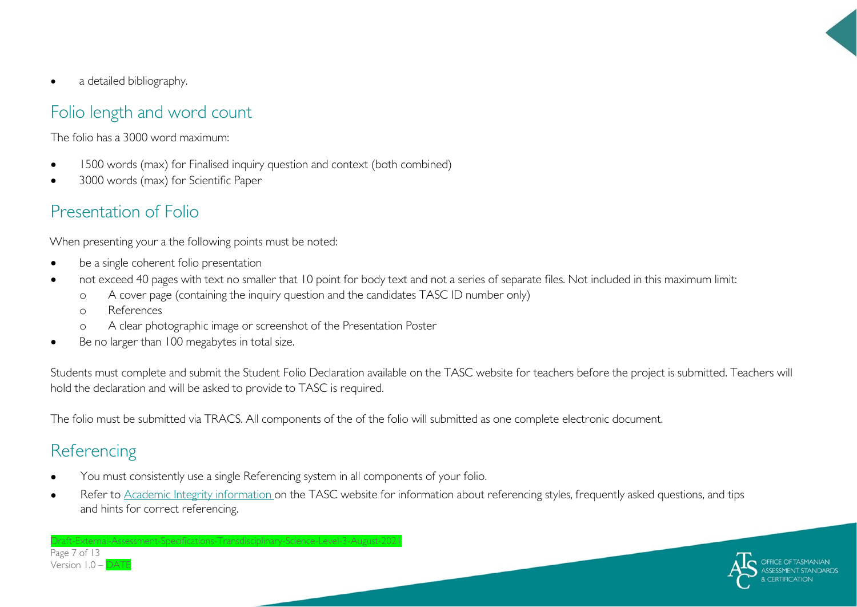• a detailed bibliography.

### Folio length and word count

The folio has a 3000 word maximum:

- 1500 words (max) for Finalised inquiry question and context (both combined)
- 3000 words (max) for Scientific Paper

# Presentation of Folio

When presenting your a the following points must be noted:

- be a single coherent folio presentation
- not exceed 40 pages with text no smaller that 10 point for body text and not a series of separate files. Not included in this maximum limit:
	- o A cover page (containing the inquiry question and the candidates TASC ID number only)
	- o References
	- o A clear photographic image or screenshot of the Presentation Poster
- Be no larger than 100 megabytes in total size.

Students must complete and submit the Student Folio Declaration available on the TASC website for teachers before the project is submitted. Teachers will hold the declaration and will be asked to provide to TASC is required.

The folio must be submitted via TRACS. All components of the of the folio will submitted as one complete electronic document.

### **Referencing**

Page 7 of 13 Version  $1.0 -$ 

• You must consistently use a single Referencing system in all components of your folio.

Draft-External-Assessment-Specifications-Transdisciplinary-Science-Level-3-August-2021

Refer to [Academic Integrity information o](https://www.tasc.tas.gov.au/students/academic-integrity/?highlight=academic%20integrity)n the TASC website for information about referencing styles, frequently asked questions, and tips and hints for correct referencing.

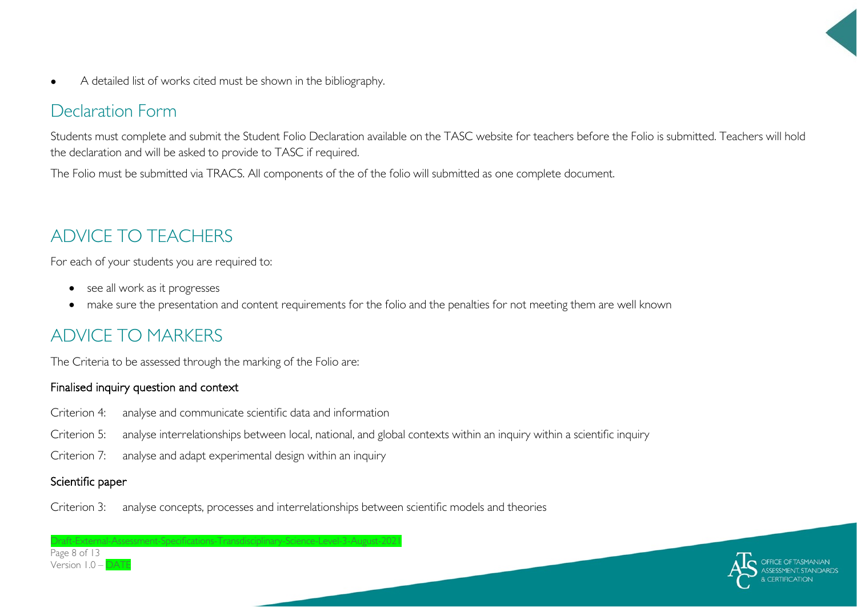• A detailed list of works cited must be shown in the bibliography.

# Declaration Form

Students must complete and submit the Student Folio Declaration available on the TASC website for teachers before the Folio is submitted. Teachers will hold the declaration and will be asked to provide to TASC if required.

The Folio must be submitted via TRACS. All components of the of the folio will submitted as one complete document.

# ADVICE TO TEACHERS

For each of your students you are required to:

- see all work as it progresses
- make sure the presentation and content requirements for the folio and the penalties for not meeting them are well known

# ADVICE TO MARKERS

The Criteria to be assessed through the marking of the Folio are:

#### Finalised inquiry question and context

- Criterion 4: analyse and communicate scientific data and information
- Criterion 5: analyse interrelationships between local, national, and global contexts within an inquiry within a scientific inquiry
- Criterion 7: analyse and adapt experimental design within an inquiry

raft-External-Assessment-Specifications-Transdisciplinary-Science-Level-3-August-202

#### Scientific paper

Criterion 3: analyse concepts, processes and interrelationships between scientific models and theories

Page 8 of 13 Version  $1.0 -$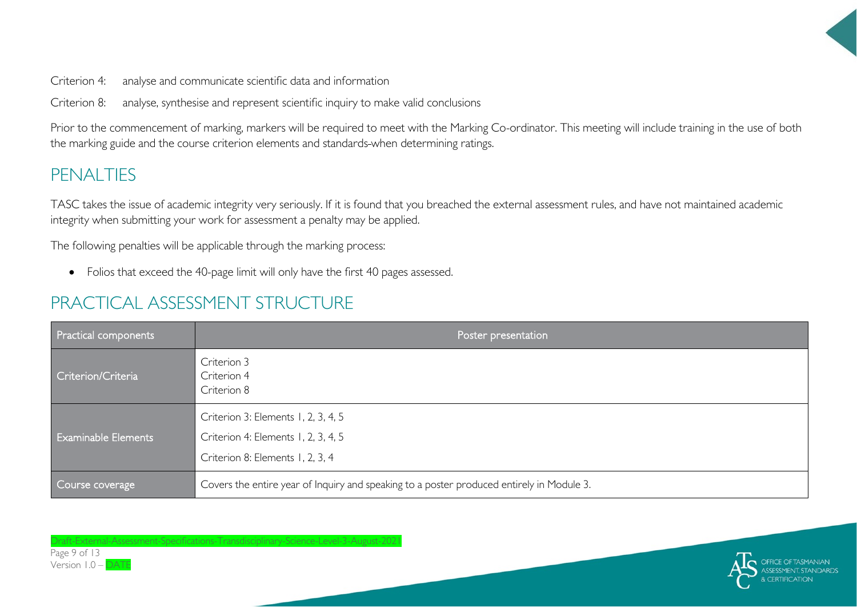

Criterion 4: analyse and communicate scientific data and information

Criterion 8: analyse, synthesise and represent scientific inquiry to make valid conclusions

Prior to the commencement of marking, markers will be required to meet with the Marking Co-ordinator. This meeting will include training in the use of both the marking guide and the course criterion elements and standards when determining ratings.

# PENALTIES

TASC takes the issue of academic integrity very seriously. If it is found that you breached the external assessment rules, and have not maintained academic integrity when submitting your work for assessment a penalty may be applied.

The following penalties will be applicable through the marking process:

• Folios that exceed the 40-page limit will only have the first 40 pages assessed.

# PRACTICAL ASSESSMENT STRUCTURE

| <b>Practical components</b> | Poster presentation                                                                                            |  |
|-----------------------------|----------------------------------------------------------------------------------------------------------------|--|
| Criterion/Criteria          | Criterion 3<br>Criterion 4<br>Criterion 8                                                                      |  |
| <b>Examinable Elements</b>  | Criterion 3: Elements 1, 2, 3, 4, 5<br>Criterion 4: Elements 1, 2, 3, 4, 5<br>Criterion 8: Elements 1, 2, 3, 4 |  |
| Course coverage             | Covers the entire year of Inquiry and speaking to a poster produced entirely in Module 3.                      |  |

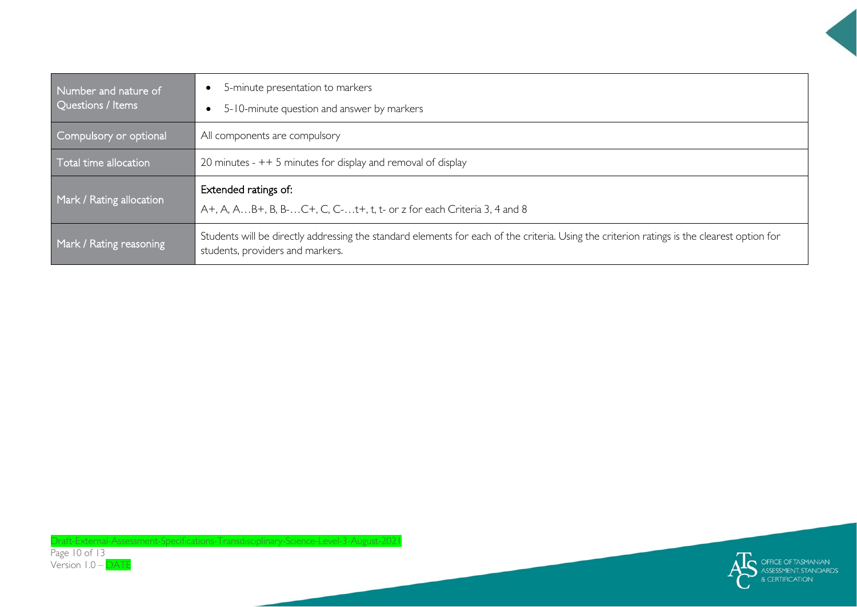| Number and nature of<br>Questions / Items | 5-minute presentation to markers<br>5-10-minute question and answer by markers<br>$\bullet$                                                                                     |
|-------------------------------------------|---------------------------------------------------------------------------------------------------------------------------------------------------------------------------------|
| Compulsory or optional                    | All components are compulsory                                                                                                                                                   |
| Total time allocation                     | 20 minutes - $++$ 5 minutes for display and removal of display                                                                                                                  |
| Mark / Rating allocation                  | Extended ratings of:<br>A+, A, AB+, B, B-C+, C, C-t+, t, t- or z for each Criteria 3, 4 and 8                                                                                   |
| Mark / Rating reasoning                   | Students will be directly addressing the standard elements for each of the criteria. Using the criterion ratings is the clearest option for<br>students, providers and markers. |

Draft-External-Assessment-Specifications-Transdisciplinary-Science-Level-3-August-2021

Page 10 of 13 Version 1.0 – DATE

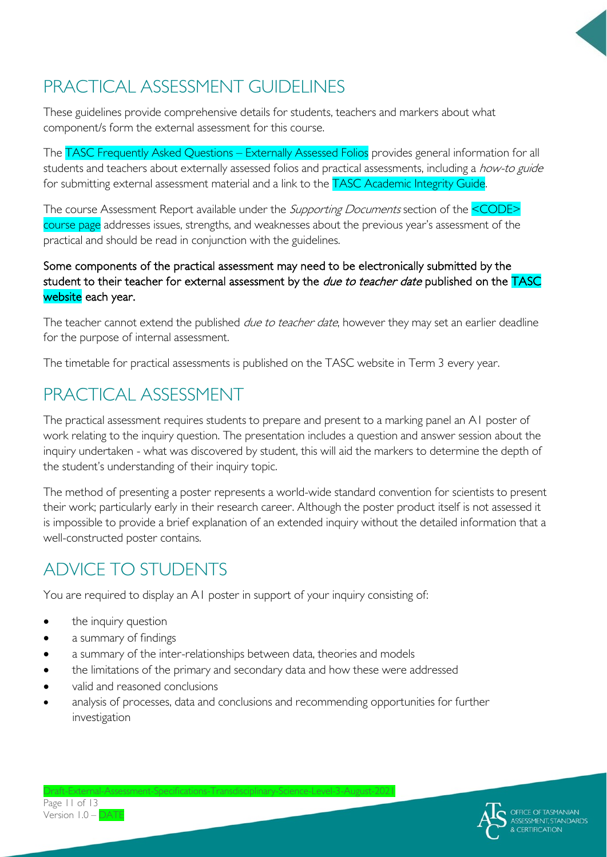# PRACTICAL ASSESSMENT GUIDELINES

These guidelines provide comprehensive details for students, teachers and markers about what component/s form the external assessment for this course.

The TASC Frequently Asked Questions – Externally Assessed Folios provides general information for all students and teachers about externally assessed folios and practical assessments, including a how-to guide for submitting external assessment material and a link to the TASC Academic Integrity Guide.

The course Assessment Report available under the *Supporting Documents* section of the <CODE> course page addresses issues, strengths, and weaknesses about the previous year's assessment of the practical and should be read in conjunction with the guidelines.

#### Some components of the practical assessment may need to be electronically submitted by the student to their teacher for external assessment by the *due to teacher date* published on the TASC website each year.

The teacher cannot extend the published *due to teacher date*, however they may set an earlier deadline for the purpose of internal assessment.

The timetable for practical assessments is published on the TASC website in Term 3 every year.

# PRACTICAL ASSESSMENT

The practical assessment requires students to prepare and present to a marking panel an A1 poster of work relating to the inquiry question. The presentation includes a question and answer session about the inquiry undertaken - what was discovered by student, this will aid the markers to determine the depth of the student's understanding of their inquiry topic.

The method of presenting a poster represents a world-wide standard convention for scientists to present their work; particularly early in their research career. Although the poster product itself is not assessed it is impossible to provide a brief explanation of an extended inquiry without the detailed information that a well-constructed poster contains.

# ADVICE TO STUDENTS

You are required to display an A1 poster in support of your inquiry consisting of:

- the inquiry question
- a summary of findings
- a summary of the inter-relationships between data, theories and models
- the limitations of the primary and secondary data and how these were addressed
- valid and reasoned conclusions
- analysis of processes, data and conclusions and recommending opportunities for further investigation



Page 11 of 13 Version 1.0 – DATE

 $Draff-Fxternal-As$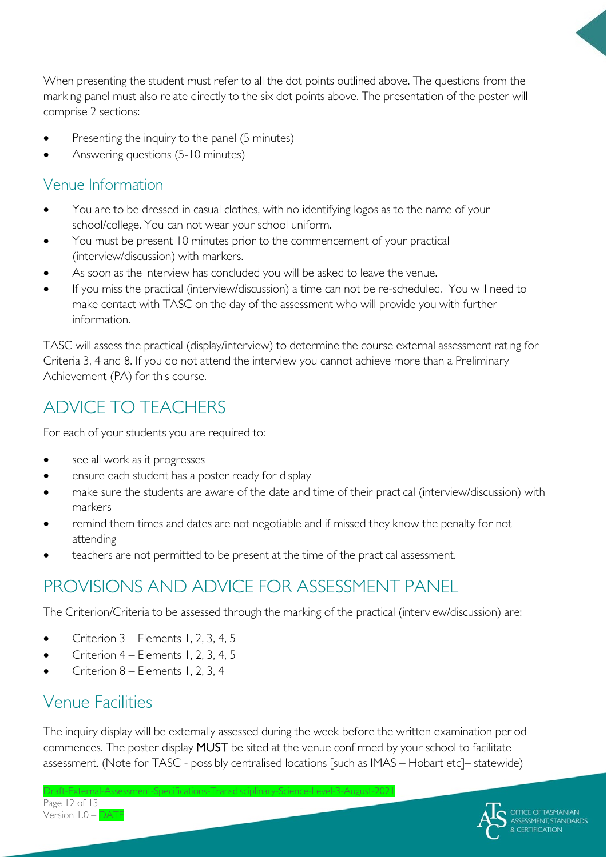When presenting the student must refer to all the dot points outlined above. The questions from the marking panel must also relate directly to the six dot points above. The presentation of the poster will comprise 2 sections:

- Presenting the inquiry to the panel (5 minutes)
- Answering questions (5-10 minutes)

### Venue Information

- You are to be dressed in casual clothes, with no identifying logos as to the name of your school/college. You can not wear your school uniform.
- You must be present 10 minutes prior to the commencement of your practical (interview/discussion) with markers.
- As soon as the interview has concluded you will be asked to leave the venue.
- If you miss the practical (interview/discussion) a time can not be re-scheduled. You will need to make contact with TASC on the day of the assessment who will provide you with further information.

TASC will assess the practical (display/interview) to determine the course external assessment rating for Criteria 3, 4 and 8. If you do not attend the interview you cannot achieve more than a Preliminary Achievement (PA) for this course.

# ADVICE TO TEACHERS

For each of your students you are required to:

- see all work as it progresses
- ensure each student has a poster ready for display
- make sure the students are aware of the date and time of their practical (interview/discussion) with markers
- remind them times and dates are not negotiable and if missed they know the penalty for not attending
- teachers are not permitted to be present at the time of the practical assessment.

# PROVISIONS AND ADVICE FOR ASSESSMENT PANEL

The Criterion/Criteria to be assessed through the marking of the practical (interview/discussion) are:

- Criterion 3 Elements 1, 2, 3, 4, 5
- Criterion 4 Elements 1, 2, 3, 4, 5
- Criterion 8 Elements 1, 2, 3, 4

### Venue Facilities

The inquiry display will be externally assessed during the week before the written examination period commences. The poster display MUST be sited at the venue confirmed by your school to facilitate assessment. (Note for TASC - possibly centralised locations [such as IMAS – Hobart etc]– statewide)



Draft-External-A Page 12 of 13 Version 1.0 – DATE